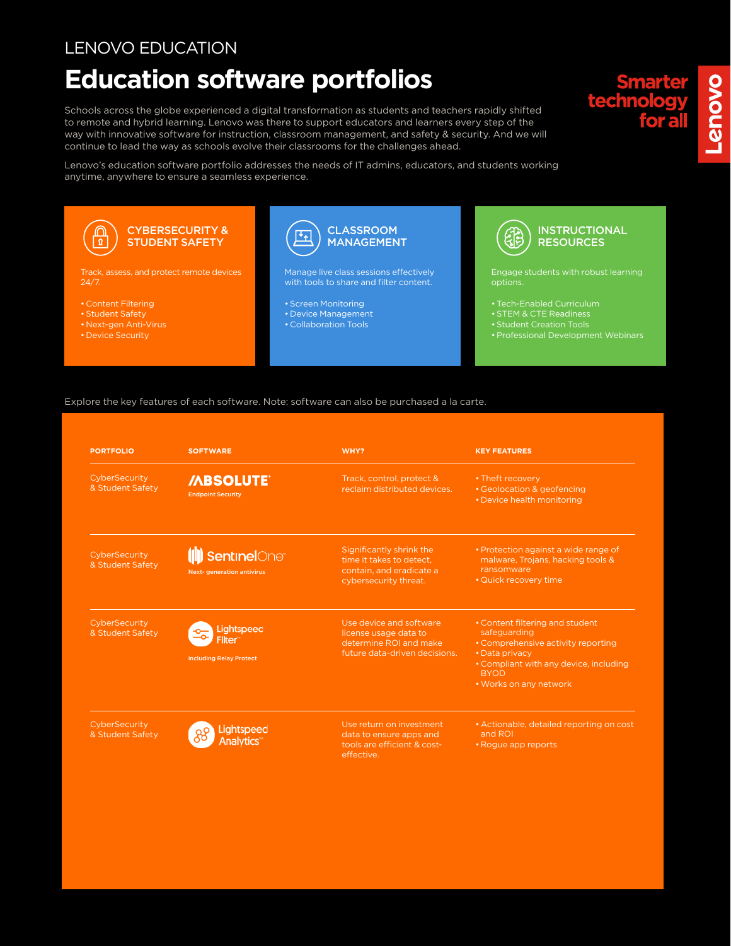## LENOVO EDUCATION

## **Education software portfolios**

Schools across the globe experienced a digital transformation as students and teachers rapidly shifted to remote and hybrid learning. Lenovo was there to support educators and learners every step of the way with innovative software for instruction, classroom management, and safety & security. And we will continue to lead the way as schools evolve their classrooms for the challenges ahead.

Lenovo's education software portfolio addresses the needs of IT admins, educators, and students working anytime, anywhere to ensure a seamless experience.



## Explore the key features of each software. Note: software can also be purchased a la carte.

| <b>PORTFOLIO</b>                  | <b>SOFTWARE</b>                                                                  | WHY?                                                                                                        | <b>KEY FEATURES</b>                                                                                                                                                                        |
|-----------------------------------|----------------------------------------------------------------------------------|-------------------------------------------------------------------------------------------------------------|--------------------------------------------------------------------------------------------------------------------------------------------------------------------------------------------|
| CyberSecurity<br>& Student Safety | <b>/ABSOLUTE®</b><br><b>Endpoint Security</b>                                    | Track, control, protect &<br>reclaim distributed devices.                                                   | • Theft recovery<br>• Geolocation & geofencing<br>• Device health monitoring                                                                                                               |
| CyberSecurity<br>& Student Safety | <b>II</b> ) <b>Sentinel</b> One <sup>®</sup><br><b>Next-generation antivirus</b> | Significantly shrink the<br>time it takes to detect.<br>contain, and eradicate a<br>cybersecurity threat.   | • Protection against a wide range of<br>malware, Trojans, hacking tools &<br>ransomware<br>• Quick recovery time                                                                           |
| CyberSecurity<br>& Student Safety | <b>Lightspeed</b><br><b>Filter</b><br>including Relay Protect                    | Use device and software<br>license usage data to<br>determine ROI and make<br>future data-driven decisions. | • Content filtering and student<br>safeguarding<br>• Comprehensive activity reporting<br>• Data privacy<br>• Compliant with any device, including<br><b>BYOD</b><br>• Works on any network |
| CyberSecurity<br>& Student Safety | Lightspeed<br><b>Analytics</b> <sup>®</sup>                                      | Use return on investment<br>data to ensure apps and<br>tools are efficient & cost-<br>effective.            | • Actionable, detailed reporting on cost<br>and ROI<br>• Roque app reports                                                                                                                 |